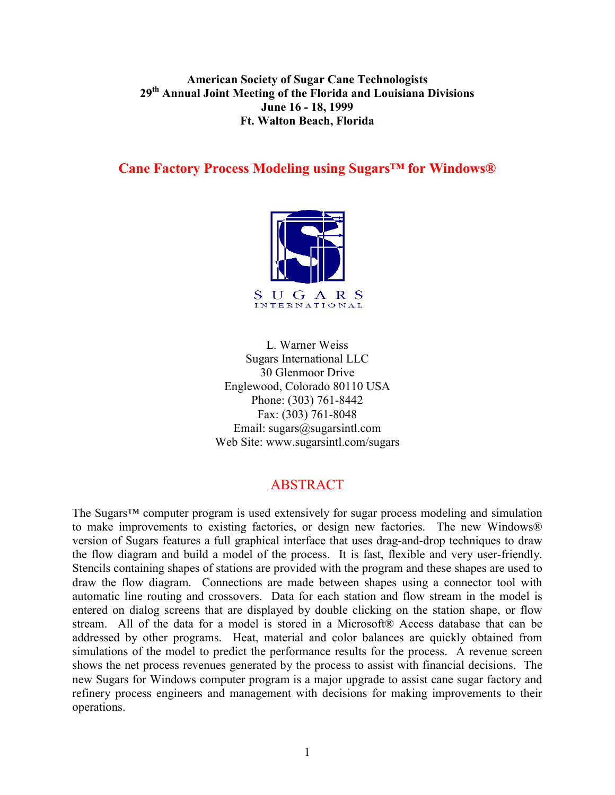#### **American Society of Sugar Cane Technologists 29th Annual Joint Meeting of the Florida and Louisiana Divisions June 16 - 18, 1999 Ft. Walton Beach, Florida**

#### **Cane Factory Process Modeling using Sugars™ for Windows®**



L. Warner Weiss Sugars International LLC 30 Glenmoor Drive Englewood, Colorado 80110 USA Phone: (303) 761-8442 Fax: (303) 761-8048 Email:  $sugars@sugarsintl.com$ Web Site: www.sugarsintl.com/sugars

# ABSTRACT

The Sugars™ computer program is used extensively for sugar process modeling and simulation to make improvements to existing factories, or design new factories. The new Windows® version of Sugars features a full graphical interface that uses drag-and-drop techniques to draw the flow diagram and build a model of the process. It is fast, flexible and very user-friendly. Stencils containing shapes of stations are provided with the program and these shapes are used to draw the flow diagram. Connections are made between shapes using a connector tool with automatic line routing and crossovers. Data for each station and flow stream in the model is entered on dialog screens that are displayed by double clicking on the station shape, or flow stream. All of the data for a model is stored in a Microsoft® Access database that can be addressed by other programs. Heat, material and color balances are quickly obtained from simulations of the model to predict the performance results for the process. A revenue screen shows the net process revenues generated by the process to assist with financial decisions. The new Sugars for Windows computer program is a major upgrade to assist cane sugar factory and refinery process engineers and management with decisions for making improvements to their operations.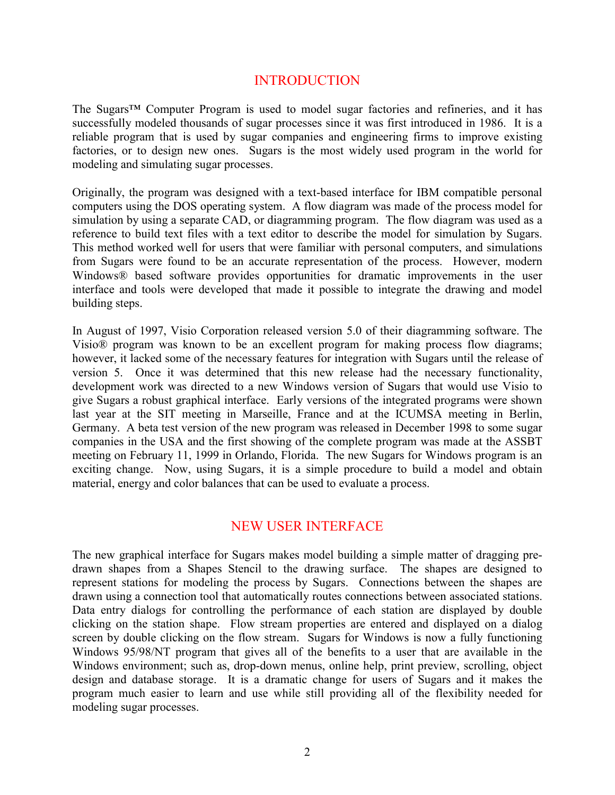# INTRODUCTION

The Sugars<sup>™</sup> Computer Program is used to model sugar factories and refineries, and it has successfully modeled thousands of sugar processes since it was first introduced in 1986. It is a reliable program that is used by sugar companies and engineering firms to improve existing factories, or to design new ones. Sugars is the most widely used program in the world for modeling and simulating sugar processes.

Originally, the program was designed with a text-based interface for IBM compatible personal computers using the DOS operating system. A flow diagram was made of the process model for simulation by using a separate CAD, or diagramming program. The flow diagram was used as a reference to build text files with a text editor to describe the model for simulation by Sugars. This method worked well for users that were familiar with personal computers, and simulations from Sugars were found to be an accurate representation of the process. However, modern Windows® based software provides opportunities for dramatic improvements in the user interface and tools were developed that made it possible to integrate the drawing and model building steps.

In August of 1997, Visio Corporation released version 5.0 of their diagramming software. The Visio® program was known to be an excellent program for making process flow diagrams; however, it lacked some of the necessary features for integration with Sugars until the release of version 5. Once it was determined that this new release had the necessary functionality, development work was directed to a new Windows version of Sugars that would use Visio to give Sugars a robust graphical interface. Early versions of the integrated programs were shown last year at the SIT meeting in Marseille, France and at the ICUMSA meeting in Berlin, Germany. A beta test version of the new program was released in December 1998 to some sugar companies in the USA and the first showing of the complete program was made at the ASSBT meeting on February 11, 1999 in Orlando, Florida. The new Sugars for Windows program is an exciting change. Now, using Sugars, it is a simple procedure to build a model and obtain material, energy and color balances that can be used to evaluate a process.

# NEW USER INTERFACE

The new graphical interface for Sugars makes model building a simple matter of dragging predrawn shapes from a Shapes Stencil to the drawing surface. The shapes are designed to represent stations for modeling the process by Sugars. Connections between the shapes are drawn using a connection tool that automatically routes connections between associated stations. Data entry dialogs for controlling the performance of each station are displayed by double clicking on the station shape. Flow stream properties are entered and displayed on a dialog screen by double clicking on the flow stream. Sugars for Windows is now a fully functioning Windows 95/98/NT program that gives all of the benefits to a user that are available in the Windows environment; such as, drop-down menus, online help, print preview, scrolling, object design and database storage. It is a dramatic change for users of Sugars and it makes the program much easier to learn and use while still providing all of the flexibility needed for modeling sugar processes.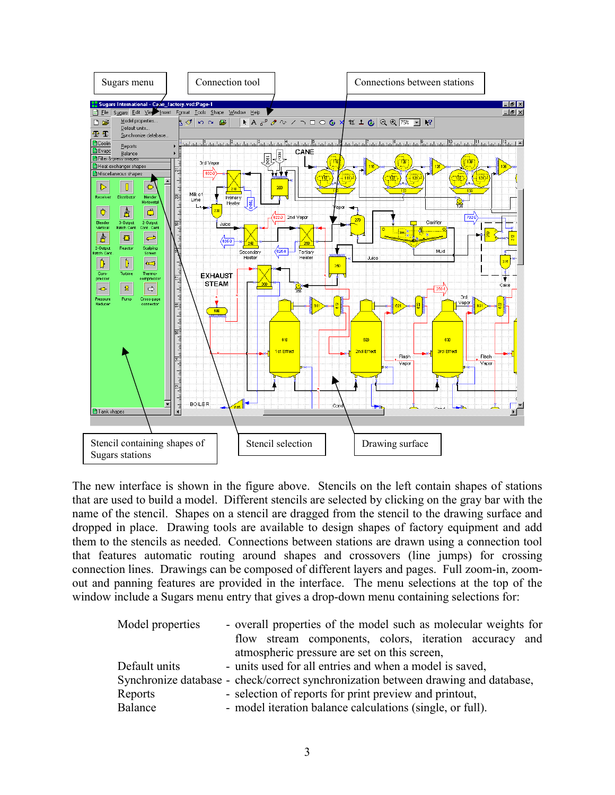

The new interface is shown in the figure above. Stencils on the left contain shapes of stations that are used to build a model. Different stencils are selected by clicking on the gray bar with the name of the stencil. Shapes on a stencil are dragged from the stencil to the drawing surface and dropped in place. Drawing tools are available to design shapes of factory equipment and add them to the stencils as needed. Connections between stations are drawn using a connection tool that features automatic routing around shapes and crossovers (line jumps) for crossing connection lines. Drawings can be composed of different layers and pages. Full zoom-in, zoomout and panning features are provided in the interface. The menu selections at the top of the window include a Sugars menu entry that gives a drop-down menu containing selections for:

| Model properties                                                                   | - overall properties of the model such as molecular weights for |                                                           |                                                        |  |  |  |  |  |  |  |  |  |
|------------------------------------------------------------------------------------|-----------------------------------------------------------------|-----------------------------------------------------------|--------------------------------------------------------|--|--|--|--|--|--|--|--|--|
|                                                                                    |                                                                 |                                                           | flow stream components, colors, iteration accuracy and |  |  |  |  |  |  |  |  |  |
|                                                                                    |                                                                 | atmospheric pressure are set on this screen,              |                                                        |  |  |  |  |  |  |  |  |  |
| Default units                                                                      |                                                                 | - units used for all entries and when a model is saved,   |                                                        |  |  |  |  |  |  |  |  |  |
| Synchronize database - check/correct synchronization between drawing and database, |                                                                 |                                                           |                                                        |  |  |  |  |  |  |  |  |  |
| Reports                                                                            | - selection of reports for print preview and printout,          |                                                           |                                                        |  |  |  |  |  |  |  |  |  |
| Balance                                                                            |                                                                 | - model iteration balance calculations (single, or full). |                                                        |  |  |  |  |  |  |  |  |  |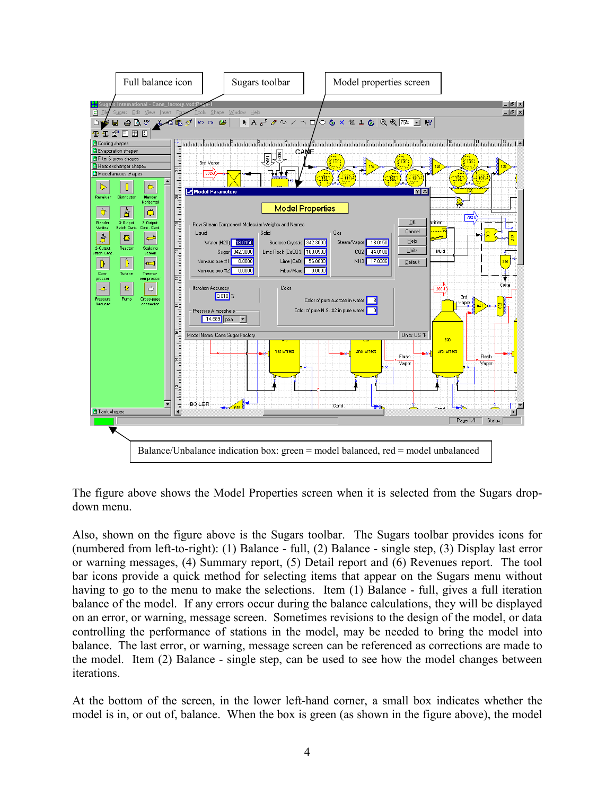

The figure above shows the Model Properties screen when it is selected from the Sugars dropdown menu.

Also, shown on the figure above is the Sugars toolbar. The Sugars toolbar provides icons for (numbered from left-to-right): (1) Balance - full, (2) Balance - single step, (3) Display last error or warning messages, (4) Summary report, (5) Detail report and (6) Revenues report. The tool bar icons provide a quick method for selecting items that appear on the Sugars menu without having to go to the menu to make the selections. Item (1) Balance - full, gives a full iteration balance of the model. If any errors occur during the balance calculations, they will be displayed on an error, or warning, message screen. Sometimes revisions to the design of the model, or data controlling the performance of stations in the model, may be needed to bring the model into balance. The last error, or warning, message screen can be referenced as corrections are made to the model. Item (2) Balance - single step, can be used to see how the model changes between iterations.

At the bottom of the screen, in the lower left-hand corner, a small box indicates whether the model is in, or out of, balance. When the box is green (as shown in the figure above), the model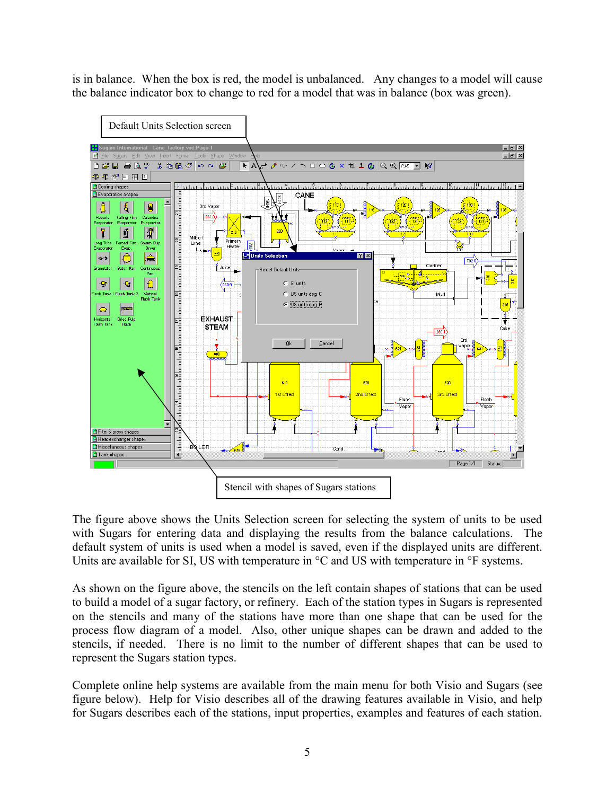is in balance. When the box is red, the model is unbalanced. Any changes to a model will cause the balance indicator box to change to red for a model that was in balance (box was green).



The figure above shows the Units Selection screen for selecting the system of units to be used with Sugars for entering data and displaying the results from the balance calculations. The default system of units is used when a model is saved, even if the displayed units are different. Units are available for SI, US with temperature in  $\rm{^{\circ}C}$  and US with temperature in  $\rm{^{\circ}F}$  systems.

As shown on the figure above, the stencils on the left contain shapes of stations that can be used to build a model of a sugar factory, or refinery. Each of the station types in Sugars is represented on the stencils and many of the stations have more than one shape that can be used for the process flow diagram of a model. Also, other unique shapes can be drawn and added to the stencils, if needed. There is no limit to the number of different shapes that can be used to represent the Sugars station types.

Complete online help systems are available from the main menu for both Visio and Sugars (see figure below). Help for Visio describes all of the drawing features available in Visio, and help for Sugars describes each of the stations, input properties, examples and features of each station.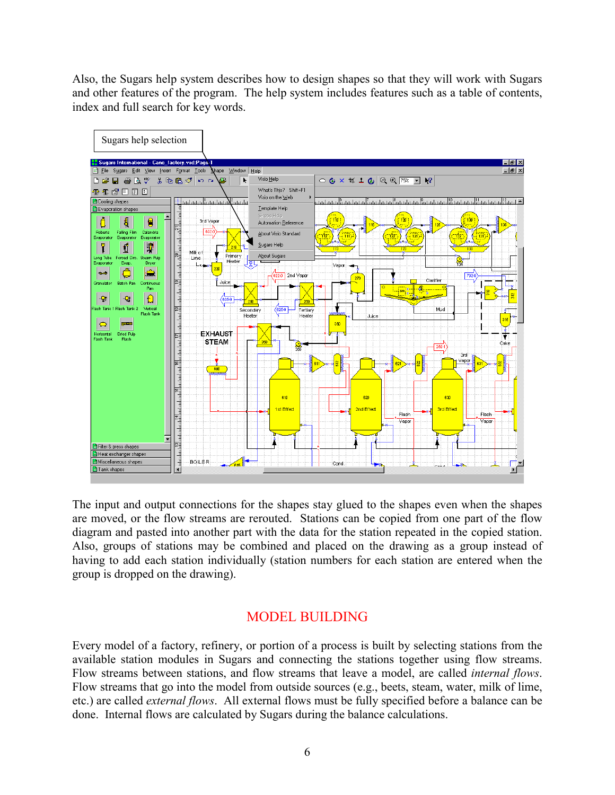Also, the Sugars help system describes how to design shapes so that they will work with Sugars and other features of the program. The help system includes features such as a table of contents, index and full search for key words.



The input and output connections for the shapes stay glued to the shapes even when the shapes are moved, or the flow streams are rerouted. Stations can be copied from one part of the flow diagram and pasted into another part with the data for the station repeated in the copied station. Also, groups of stations may be combined and placed on the drawing as a group instead of having to add each station individually (station numbers for each station are entered when the group is dropped on the drawing).

# MODEL BUILDING

Every model of a factory, refinery, or portion of a process is built by selecting stations from the available station modules in Sugars and connecting the stations together using flow streams. Flow streams between stations, and flow streams that leave a model, are called *internal flows*. Flow streams that go into the model from outside sources (e.g., beets, steam, water, milk of lime, etc.) are called *external flows*. All external flows must be fully specified before a balance can be done. Internal flows are calculated by Sugars during the balance calculations.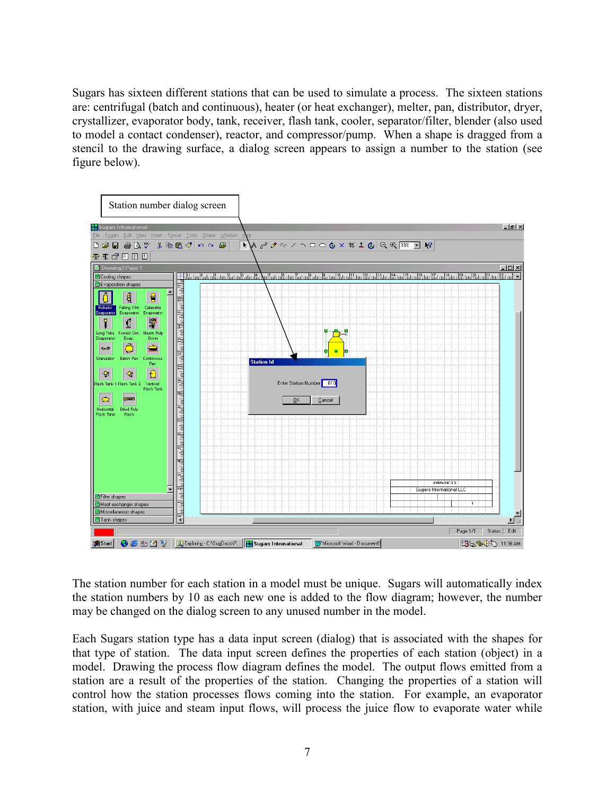Sugars has sixteen different stations that can be used to simulate a process. The sixteen stations are: centrifugal (batch and continuous), heater (or heat exchanger), melter, pan, distributor, dryer, crystallizer, evaporator body, tank, receiver, flash tank, cooler, separator/filter, blender (also used to model a contact condenser), reactor, and compressor/pump. When a shape is dragged from a stencil to the drawing surface, a dialog screen appears to assign a number to the station (see figure below).



The station number for each station in a model must be unique. Sugars will automatically index the station numbers by 10 as each new one is added to the flow diagram; however, the number may be changed on the dialog screen to any unused number in the model.

Each Sugars station type has a data input screen (dialog) that is associated with the shapes for that type of station. The data input screen defines the properties of each station (object) in a model. Drawing the process flow diagram defines the model. The output flows emitted from a station are a result of the properties of the station. Changing the properties of a station will control how the station processes flows coming into the station. For example, an evaporator station, with juice and steam input flows, will process the juice flow to evaporate water while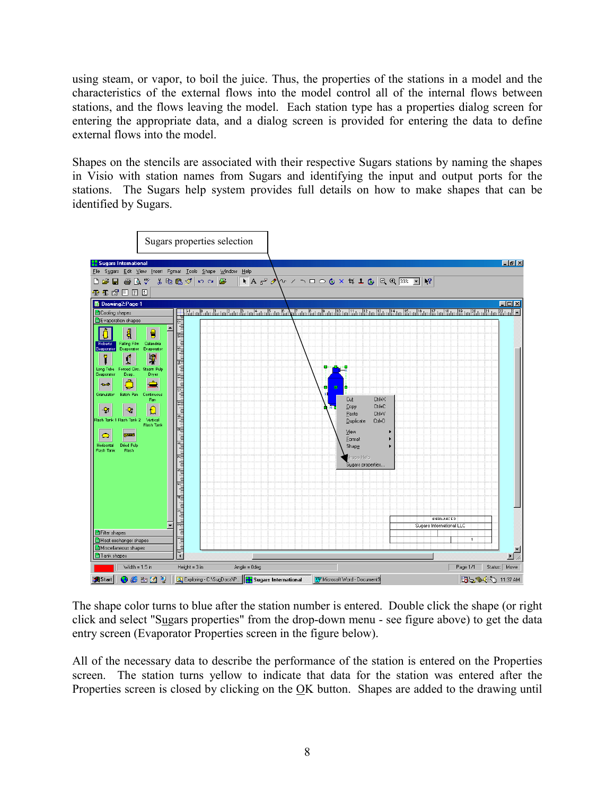using steam, or vapor, to boil the juice. Thus, the properties of the stations in a model and the characteristics of the external flows into the model control all of the internal flows between stations, and the flows leaving the model. Each station type has a properties dialog screen for entering the appropriate data, and a dialog screen is provided for entering the data to define external flows into the model.

Shapes on the stencils are associated with their respective Sugars stations by naming the shapes in Visio with station names from Sugars and identifying the input and output ports for the stations. The Sugars help system provides full details on how to make shapes that can be identified by Sugars.



The shape color turns to blue after the station number is entered. Double click the shape (or right click and select "Sugars properties" from the drop-down menu - see figure above) to get the data entry screen (Evaporator Properties screen in the figure below).

All of the necessary data to describe the performance of the station is entered on the Properties screen. The station turns yellow to indicate that data for the station was entered after the Properties screen is closed by clicking on the OK button. Shapes are added to the drawing until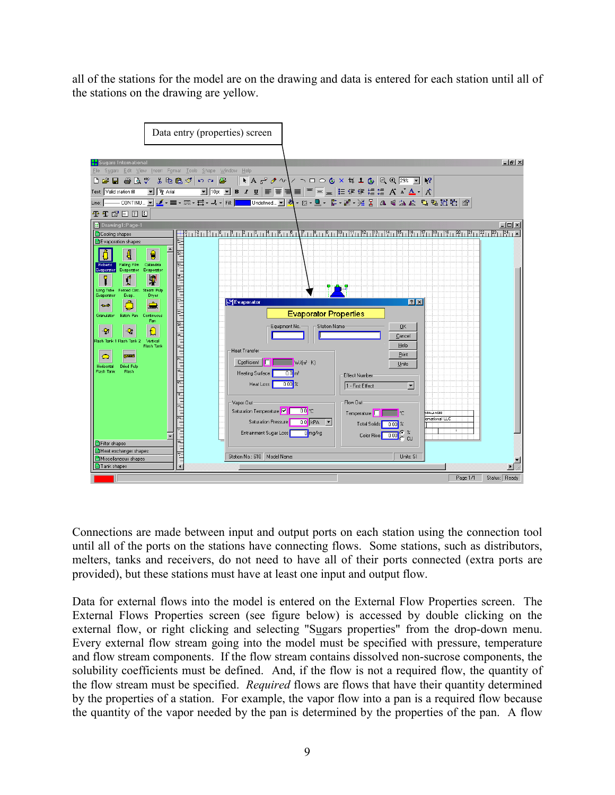all of the stations for the model are on the drawing and data is entered for each station until all of the stations on the drawing are yellow.



Connections are made between input and output ports on each station using the connection tool until all of the ports on the stations have connecting flows. Some stations, such as distributors, melters, tanks and receivers, do not need to have all of their ports connected (extra ports are provided), but these stations must have at least one input and output flow.

Data for external flows into the model is entered on the External Flow Properties screen. The External Flows Properties screen (see figure below) is accessed by double clicking on the external flow, or right clicking and selecting "Sugars properties" from the drop-down menu. Every external flow stream going into the model must be specified with pressure, temperature and flow stream components. If the flow stream contains dissolved non-sucrose components, the solubility coefficients must be defined. And, if the flow is not a required flow, the quantity of the flow stream must be specified. *Required* flows are flows that have their quantity determined by the properties of a station. For example, the vapor flow into a pan is a required flow because the quantity of the vapor needed by the pan is determined by the properties of the pan. A flow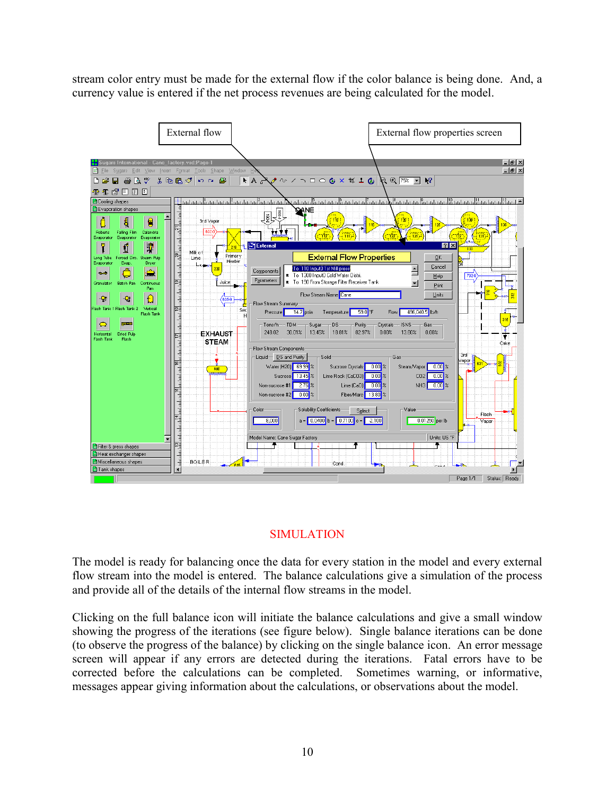stream color entry must be made for the external flow if the color balance is being done. And, a currency value is entered if the net process revenues are being calculated for the model.



# SIMULATION

The model is ready for balancing once the data for every station in the model and every external flow stream into the model is entered. The balance calculations give a simulation of the process and provide all of the details of the internal flow streams in the model.

Clicking on the full balance icon will initiate the balance calculations and give a small window showing the progress of the iterations (see figure below). Single balance iterations can be done (to observe the progress of the balance) by clicking on the single balance icon. An error message screen will appear if any errors are detected during the iterations. Fatal errors have to be corrected before the calculations can be completed. Sometimes warning, or informative, messages appear giving information about the calculations, or observations about the model.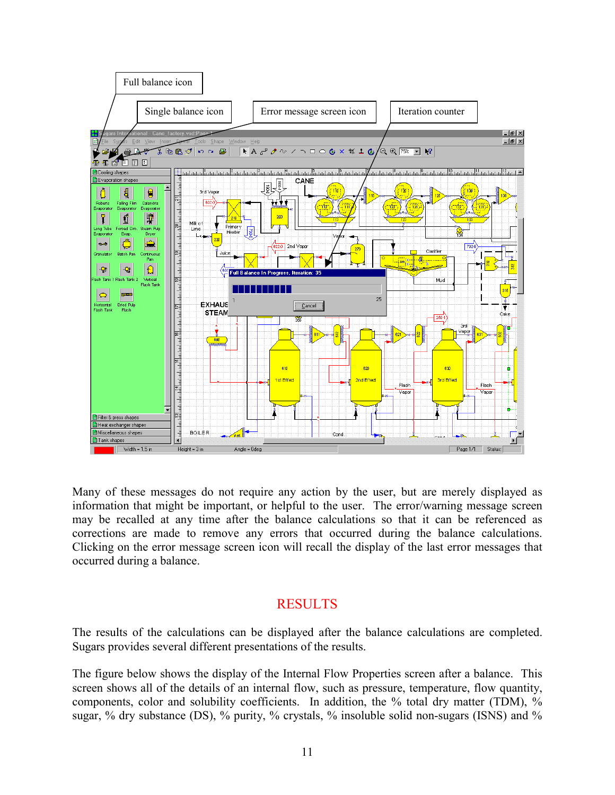

Many of these messages do not require any action by the user, but are merely displayed as information that might be important, or helpful to the user. The error/warning message screen may be recalled at any time after the balance calculations so that it can be referenced as corrections are made to remove any errors that occurred during the balance calculations. Clicking on the error message screen icon will recall the display of the last error messages that occurred during a balance.

# **RESULTS**

The results of the calculations can be displayed after the balance calculations are completed. Sugars provides several different presentations of the results.

The figure below shows the display of the Internal Flow Properties screen after a balance. This screen shows all of the details of an internal flow, such as pressure, temperature, flow quantity, components, color and solubility coefficients. In addition, the % total dry matter (TDM), % sugar, % dry substance (DS), % purity, % crystals, % insoluble solid non-sugars (ISNS) and %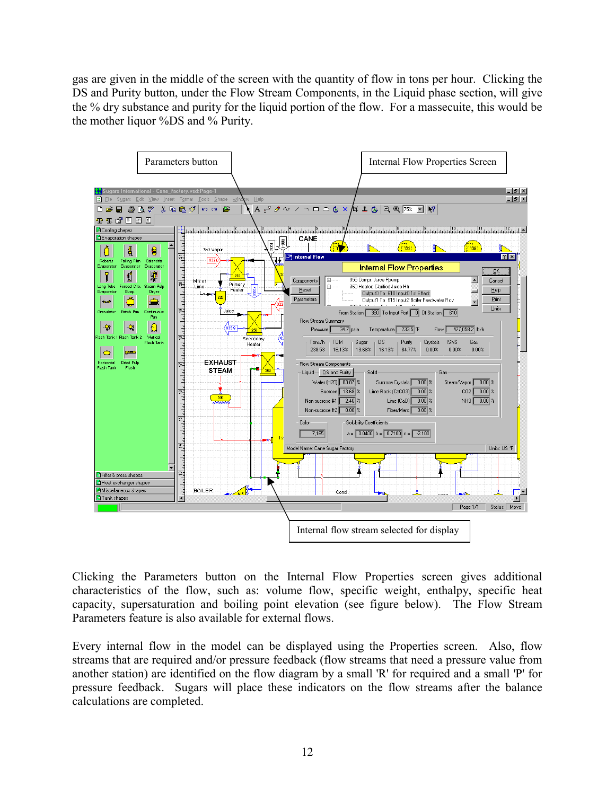gas are given in the middle of the screen with the quantity of flow in tons per hour. Clicking the DS and Purity button, under the Flow Stream Components, in the Liquid phase section, will give the % dry substance and purity for the liquid portion of the flow. For a massecuite, this would be the mother liquor %DS and % Purity.



Clicking the Parameters button on the Internal Flow Properties screen gives additional characteristics of the flow, such as: volume flow, specific weight, enthalpy, specific heat capacity, supersaturation and boiling point elevation (see figure below). The Flow Stream Parameters feature is also available for external flows.

Every internal flow in the model can be displayed using the Properties screen. Also, flow streams that are required and/or pressure feedback (flow streams that need a pressure value from another station) are identified on the flow diagram by a small 'R' for required and a small 'P' for pressure feedback. Sugars will place these indicators on the flow streams after the balance calculations are completed.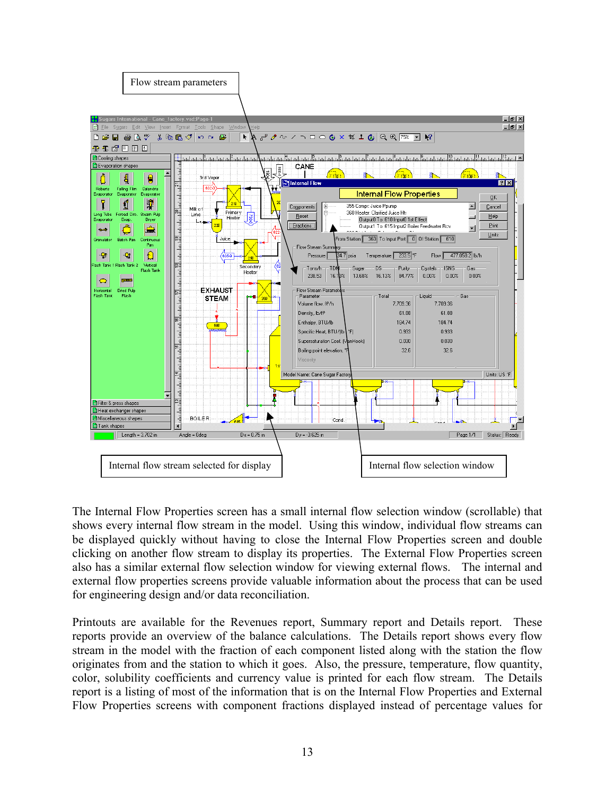

The Internal Flow Properties screen has a small internal flow selection window (scrollable) that shows every internal flow stream in the model. Using this window, individual flow streams can be displayed quickly without having to close the Internal Flow Properties screen and double clicking on another flow stream to display its properties. The External Flow Properties screen also has a similar external flow selection window for viewing external flows. The internal and external flow properties screens provide valuable information about the process that can be used for engineering design and/or data reconciliation.

Printouts are available for the Revenues report, Summary report and Details report. These reports provide an overview of the balance calculations. The Details report shows every flow stream in the model with the fraction of each component listed along with the station the flow originates from and the station to which it goes. Also, the pressure, temperature, flow quantity, color, solubility coefficients and currency value is printed for each flow stream. The Details report is a listing of most of the information that is on the Internal Flow Properties and External Flow Properties screens with component fractions displayed instead of percentage values for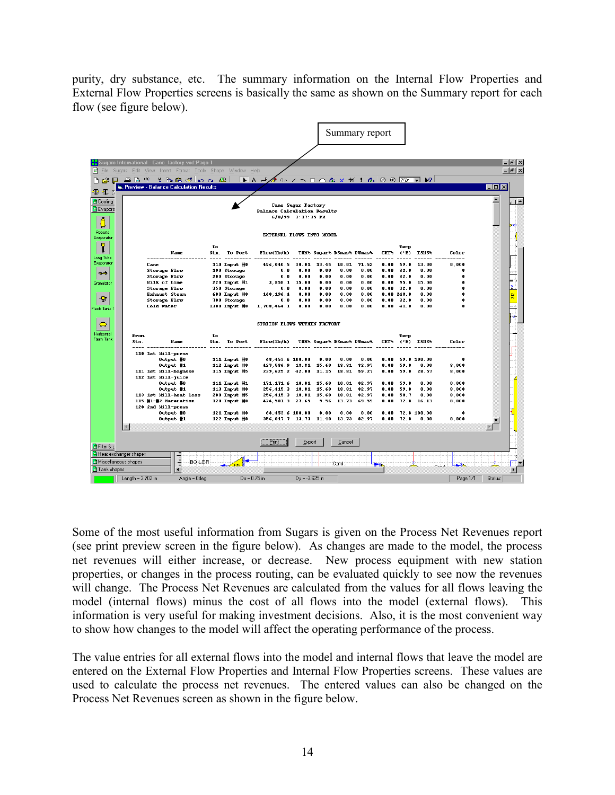purity, dry substance, etc. The summary information on the Internal Flow Properties and External Flow Properties screens is basically the same as shown on the Summary report for each flow (see figure below).

|                                               |                                                          |                                                                                         |                                                                                                                                                                                            |    |                                                             |                                                                               | Summary report                 |                                     |                                  |                               |                              |                                   |                                |                         |         |                                |
|-----------------------------------------------|----------------------------------------------------------|-----------------------------------------------------------------------------------------|--------------------------------------------------------------------------------------------------------------------------------------------------------------------------------------------|----|-------------------------------------------------------------|-------------------------------------------------------------------------------|--------------------------------|-------------------------------------|----------------------------------|-------------------------------|------------------------------|-----------------------------------|--------------------------------|-------------------------|---------|--------------------------------|
| m<br>File<br>ዊ 1 C                            | o                                                        |                                                                                         | <b>Xx</b> Sugars International - Cane_factory.vsd:Page-1<br>Sugars Edit View Insert Format Tools Shape Window Help<br>乌B. 少 【 取自 of lo q   BE  <br>, Preview - Balance Calculation Results |    |                                                             |                                                                               |                                |                                     |                                  |                               |                              |                                   |                                |                         | . 10 x  | $-10 \times$<br>$-10$ $\times$ |
| Cooling<br><b>B</b> Evapora<br>U              |                                                          |                                                                                         |                                                                                                                                                                                            |    |                                                             | Cane Sugar Factory<br><b>Balance Calculation Results</b><br>6/8/99 3:17:35 PM |                                |                                     |                                  |                               |                              |                                   |                                |                         |         | ≜ لينا                         |
| Roberts<br>Evaporator                         |                                                          |                                                                                         |                                                                                                                                                                                            |    |                                                             | EXTERNAL FLOWS INTO MODEL                                                     |                                |                                     |                                  |                               |                              |                                   |                                |                         |         |                                |
| $\blacksquare$                                |                                                          |                                                                                         | Name                                                                                                                                                                                       | To | Stn. To Port                                                | Flow(1b/h)                                                                    |                                |                                     | TDM% Sugar% DSmas% PUmas%        |                               | CRY%                         | Temp<br>$(^{\circ}F)$             | <b>ISNS%</b>                   | Color                   |         |                                |
| Long Tube<br>Evaporator<br>$+1$<br>Granulator |                                                          | Cane<br><b>Storage Flow</b><br><b>Storage Flow</b><br>Milk of Lime                      |                                                                                                                                                                                            |    | 110 Input #0<br>190 Storage<br>200 Storage<br>220 Input #1  | 496.040.5<br>0.0<br>0.0<br>3.858.1                                            | 30.01<br>0.00<br>0.00<br>15.00 | 13.45<br>0.00<br>0.00<br>0.00       | 18.81<br>0.00<br>0.00<br>0.00    | 71.52<br>0.00<br>0.00<br>0.00 | 0.00<br>0.00<br>0.00<br>0.00 | 59.0<br>32.0<br>32.0<br>95.0      | 13.80<br>0.00<br>0.00<br>15.00 | 8.000<br>n<br>0<br>0    |         |                                |
| ٥<br>Flash Tank                               |                                                          | <b>Storage Flow</b><br><b>Exhaust Steam</b><br><b>Storage Flow</b><br><b>Cold Water</b> |                                                                                                                                                                                            |    | 350 Storage<br>600 Input #0<br>700 Storage<br>1300 Input #0 | 0.0<br>160.196.4<br>0.0<br>1, 708, 464.1                                      | 0.00<br>0.00<br>0.00<br>0.00   | 0.00<br>0.00<br>0.00<br>0.00        | 0.00<br>0.00<br>0.00<br>0.00     | 0.00<br>0.00<br>0.00<br>0.00  | 0.00<br>0.00<br>0.00         | 32.0<br>0.00248.0<br>32.0<br>41.0 | 0.00<br>0.00<br>0.00<br>0.00   | n<br>n<br>Ω<br>n        |         |                                |
|                                               |                                                          |                                                                                         |                                                                                                                                                                                            |    |                                                             |                                                                               |                                |                                     |                                  |                               |                              |                                   |                                |                         |         |                                |
| $\bullet$<br>Horizontal<br><b>Flash Tank</b>  | From<br>Stn.                                             |                                                                                         | Name                                                                                                                                                                                       | To | Stn. To Port                                                | STATION FLOWS WITHIN FACTORY<br>Flow(1b/h)                                    |                                |                                     | <b>TBM% Sugar% DSmas% PUmas%</b> |                               | <b>CRY's</b>                 | Телр                              | $(°F)$ ISNS%                   | Color                   |         |                                |
|                                               |                                                          | 110 1st Mill-press                                                                      | Output #0<br>Output #1                                                                                                                                                                     |    | 111 Input #0<br>112 Input #0                                | 68.453.6 100.00<br>427.586.9 18.81 15.60                                      |                                | 0.00                                | 0.00<br>18.81                    | 0.00<br>82.97                 | 0.00<br>0.00                 | 59.0                              | 59.0 100.00<br>0.00            | 0<br>8,000              |         |                                |
|                                               |                                                          | 112 1st Mill-juice                                                                      | 111 1st Mill-bagasse<br>Output #0<br>Output #1                                                                                                                                             |    | 115 Input #5<br>111 Input #1<br>113 Input #0                | 239,625.2 42.00<br>171, 171, 6<br>256, 415.3                                  |                                | 11.15<br>18.81 15.60<br>18.81 15.60 | 18.81<br>18.81<br>18.81          | 59.27<br>82.97<br>82.97       | 0.00<br>0.00<br>0.00         | 59.0<br>59.0<br>59.0              | 28.57<br>0.00<br>0.00          | 8,000<br>8,000<br>8,000 |         |                                |
|                                               |                                                          | 120 2nd Mill-press                                                                      | 113 1st Mill-heat loss<br>115 #1-#2 Maceration<br>Output #0                                                                                                                                |    | 200 Input #5<br>120 Input #0<br>121 Input #0                | 256, 415.3 18.81 15.60<br>424, 501.3 27.65<br>68,453.6 100.00                 |                                | 9.56<br>0.00                        | 18.81<br>13.73<br>0.00           | 82.97<br>69.59<br>0.00        | 0.00<br>0.00<br>0.00         | 58.7<br>72.8                      | 0.00<br>16.13<br>72.8 100.00   | 8,000<br>8,000<br>n     |         |                                |
|                                               |                                                          |                                                                                         | Output #1                                                                                                                                                                                  |    | 122 Input #0                                                | 356, 047.7 13.73 11.40 13.73                                                  |                                |                                     |                                  | 82.97                         | 0.00                         | 72.8                              | 0.00                           | 8,000                   |         |                                |
| <b>B</b> Filter & p                           |                                                          |                                                                                         |                                                                                                                                                                                            |    |                                                             | Print                                                                         | Export                         |                                     | Cancel                           |                               |                              |                                   |                                |                         |         |                                |
| <b>E</b> Tank shapes                          | <b>H</b> Heat exchanger shapes<br>H Miscellaneous shapes |                                                                                         | <b>BOILER</b>                                                                                                                                                                              |    |                                                             |                                                                               |                                |                                     | Cond:                            |                               |                              |                                   |                                |                         |         |                                |
|                                               | Length = $3.702$ in                                      |                                                                                         | Angle = Odeg                                                                                                                                                                               |    |                                                             | $Dx = 0.75$ in                                                                | $Dy = -3.625$ in               |                                     |                                  |                               |                              |                                   |                                | Page 1/1                | Status: |                                |

Some of the most useful information from Sugars is given on the Process Net Revenues report (see print preview screen in the figure below). As changes are made to the model, the process net revenues will either increase, or decrease. New process equipment with new station properties, or changes in the process routing, can be evaluated quickly to see now the revenues will change. The Process Net Revenues are calculated from the values for all flows leaving the model (internal flows) minus the cost of all flows into the model (external flows). This information is very useful for making investment decisions. Also, it is the most convenient way to show how changes to the model will affect the operating performance of the process.

The value entries for all external flows into the model and internal flows that leave the model are entered on the External Flow Properties and Internal Flow Properties screens. These values are used to calculate the process net revenues. The entered values can also be changed on the Process Net Revenues screen as shown in the figure below.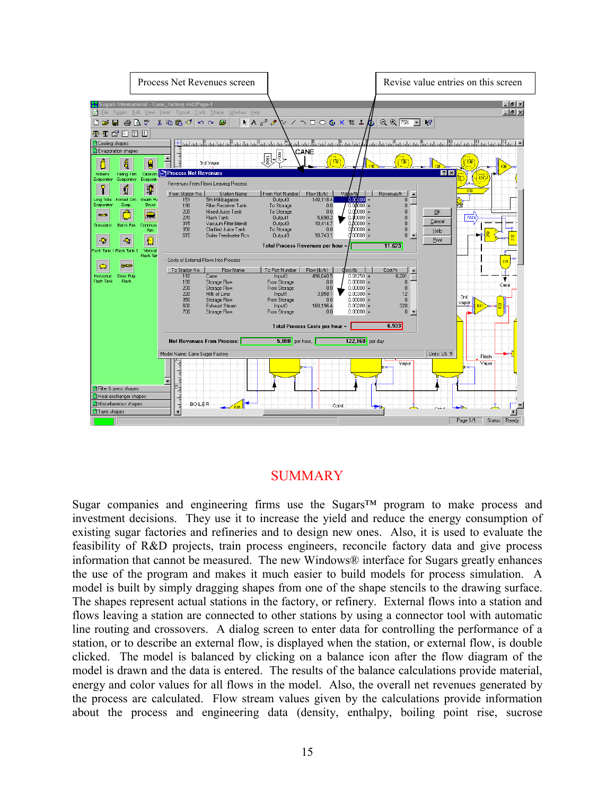

# SUMMARY

Sugar companies and engineering firms use the Sugars™ program to make process and investment decisions. They use it to increase the yield and reduce the energy consumption of existing sugar factories and refineries and to design new ones. Also, it is used to evaluate the feasibility of R&D projects, train process engineers, reconcile factory data and give process information that cannot be measured. The new Windows® interface for Sugars greatly enhances the use of the program and makes it much easier to build models for process simulation. A model is built by simply dragging shapes from one of the shape stencils to the drawing surface. The shapes represent actual stations in the factory, or refinery. External flows into a station and flows leaving a station are connected to other stations by using a connector tool with automatic line routing and crossovers. A dialog screen to enter data for controlling the performance of a station, or to describe an external flow, is displayed when the station, or external flow, is double clicked. The model is balanced by clicking on a balance icon after the flow diagram of the model is drawn and the data is entered. The results of the balance calculations provide material, energy and color values for all flows in the model. Also, the overall net revenues generated by the process are calculated. Flow stream values given by the calculations provide information about the process and engineering data (density, enthalpy, boiling point rise, sucrose